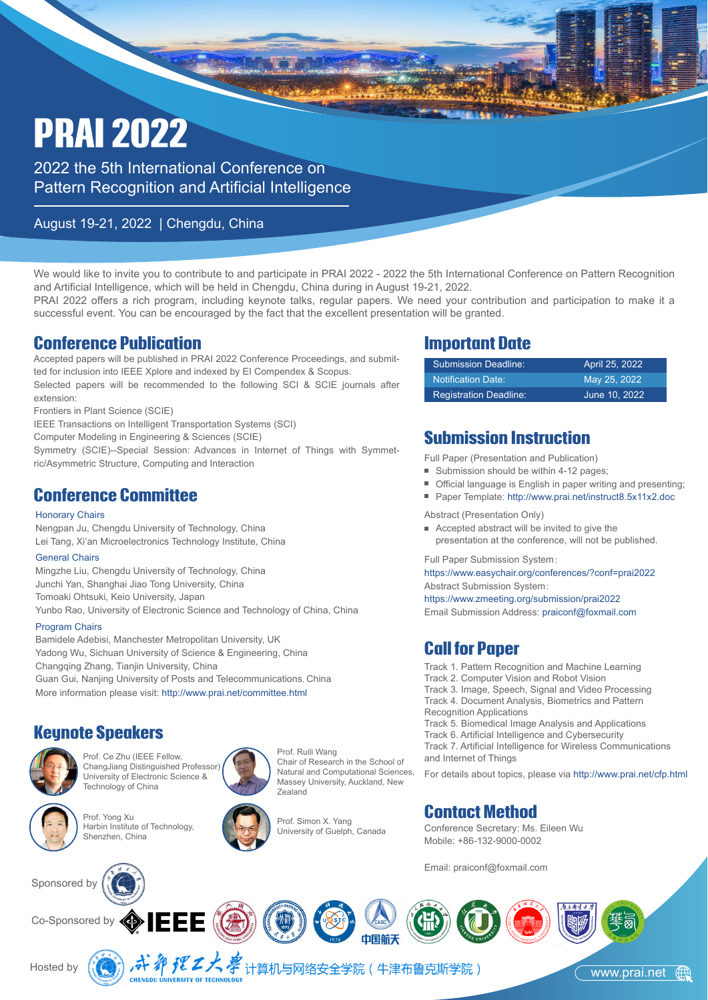# PRAI 2022

2022 the 5th International Conference on Pattern Recognition and Artificial Intelligence

#### August 19-21, 2022 | Chengdu, China

We would like to invite you to contribute to and participate in PRAI 2022 - 2022 the 5th International Conference on Pattern Recognition and Artificial Intelligence, which will be held in Chengdu, China during in August 19-21, 2022.

PRAI 2022 offers a rich program, including keynote talks, regular papers. We need your contribution and participation to make it a successful event. You can be encouraged by the fact that the excellent presentation will be granted.

#### Conference Publication

Accepted papers will be published in PRAI 2022 Conference Proceedings, and submitted for inclusion into IEEE Xplore and indexed by EI Compendex & Scopus. Selected papers will be recommended to the following SCI & SCIE journals after extension:

Frontiers in Plant Science (SCIE)

IEEE Transactions on Intelligent Transportation Systems (SCI)

Computer Modeling in Engineering & Sciences (SCIE)

Symmetry (SCIE)--Special Session: Advances in Internet of Things with Symmetric/Asymmetric Structure, Computing and Interaction

#### Conference Committee

#### Honorary Chairs

Nengpan Ju, Chengdu University of Technology, China Lei Tang, Xi'an Microelectronics Technology Institute, China

#### General Chairs

Mingzhe Liu, Chengdu University of Technology, China Junchi Yan, Shanghai Jiao Tong University, China Tomoaki Ohtsuki, Keio University, Japan Yunbo Rao, University of Electronic Science and Technology of China, China

#### Program Chairs

More information please visit: http://www.prai.net/committee.html Bamidele Adebisi, Manchester Metropolitan University, UK Yadong Wu, Sichuan University of Science & Engineering, China Changqing Zhang, Tianjin University, China Guan Gui, Nanjing University of Posts and Telecommunications, China

#### Keynote Speakers



Prof. Ce Zhu (IEEE Fellow, ChangJiang Distinguished Professor) University of Electronic Science &



Technology of China





Co-Sponsored by  $\textcircled{\ }$  IEEE (@)



Prof. Ruili Wang Chair of Research in the School of Natural and Computational Sciences, Massey University, Auckland, New Zealand



#### Important Date

| Submission Deadline:          | April 25, 2022 |
|-------------------------------|----------------|
| <b>Notification Date:</b>     | May 25, 2022   |
| <b>Registration Deadline:</b> | June 10, 2022  |

#### Submission Instruction

Full Paper (Presentation and Publication)

- Submission should be within 4-12 pages;
- Official language is English in paper writing and presenting;
- Paper Template: http://www.prai.net/instruct8.5x11x2.doc

Abstract (Presentation Only)

Accepted abstract will be invited to give the presentation at the conference, will not be published.

Full Paper Submission System:

https://www.easychair.org/conferences/?conf=prai2022 Abstract Submission System:

https://www.zmeeting.org/submission/prai2022 Email Submission Address: praiconf@foxmail.com

#### Call for Paper

- Track 1. Pattern Recognition and Machine Learning
- Track 2. Computer Vision and Robot Vision
- Track 3. Image, Speech, Signal and Video Processing Track 4. Document Analysis, Biometrics and Pattern
- Recognition Applications
- Track 5. Biomedical Image Analysis and Applications

Track 6. Artificial Intelligence and Cybersecurity

Track 7. Artificial Intelligence for Wireless Communications and Internet of Things

For details about topics, please via http://www.prai.net/cfp.html

#### Contact Method

Conference Secretary: Ms. Eileen Wu Mobile: +86-132-9000-0002

Email: praiconf@foxmail.com